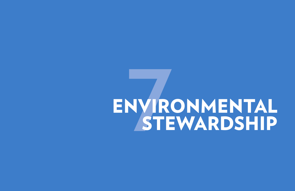# ENVIRONMENTAL **7**STEWARDSHIP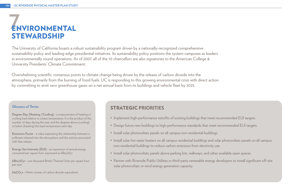# **7**ENVIRONMENTAL STEWARDSHIP

#### STRATEGIC **PRIORITIES**

- Implement high-performance retrofits of existing buildings that meet recommended EUI targets.
- Design future new buildings to high-performance standards that meet recommended EUI targets.
- Install solar photovoltaic panels on all campus non-residential buildings.
- Install solar hot water heaters on all campus residential buildings and solar photovoltaic panels on all campus non-residential buildings to reduce carbon emissions from electricity use.
- Install solar photovoltaic panels above parking lots, walkways, and other available open spaces.
- Partner with Riverside Public Utilities or third-party renewable energy developers to install significant off-site solar photovoltaic or wind energy generation capacity.

**Energy Use Intensity (EUI)** - an expression of annual energy consumed per square foot, expressed as kBtu/sf/yr

#### **Glossary of Terms**

**Degree-Day (Heating / Cooling) -** a measurement of heating or cooling load relative to a base temperature. It is the product of the number of days during the year and the degrees above (cooling) or below (heating) the base temperature each day.

**Emissions Factor -** a value expressing the relationship between a pollutant released into the atmosphere and the activity associated with that release

**kBtu/sf/yr -** one thousand British Thermal Units per square foot, per year

**MtCO<sub>2</sub>e -** Metric tonnes of carbon dioxide equivalents

The University of California boasts a robust sustainability program driven by a nationally-recognized comprehensive sustainability policy and leading-edge presidential initiatives. Its sustainability policy positions the system campuses as leaders in environmentally sound operations. As of 2007, all of the 10 chancellors are also signatories to the American College & University Presidents' Climate Commitment.

Overwhelming scientific consensus points to climate change being driven by the release of carbon dioxide into the atmosphere, primarily from the burning of fossil fuels. UC is responding to this growing environmental crisis with direct action by committing to emit zero greenhouse gases on a net annual basis from its buildings and vehicle fleet by 2025.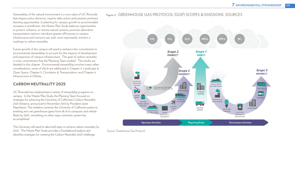Stewardship of the natural environment is a core value of UC Riverside that shapes policy decisions, inspires daily action and presents pertinent learning opportunities. In planning for campus growth to accommodate increases in enrollment, the Master Plan Study balances opportunities to protect, enhance, or restore natural systems; promote alternative transportation options; introduce greater efficiencies in campus infrastructure and resource use; and, most importantly, envision a roadmap to carbon neutrality.

Future growth of the campus will need to enhance this commitment to environmental stewardship to account for the impacts of development and expansion of campus infrastructure. The goal of carbon neutrality is a key commitment that the Planning Team studied. The results are detailed in this chapter. Environmental stewardship involves many other considerations, some of which are addressed in Chapter 4, Landscape & Open Space; Chapter 5, Circulation & Transportation; and Chapter 6, Infrastructure & Utilities.

#### CARBON NEUTRALITY 2025

UC Riverside has implemented a variety of stewardship programs on campus. In this Master Plan Study, the Planning Team focused on strategies for achieving the University of California's Carbon Neutrality 2025 Initiative, announced in November 2013 by President Janet Napolitano. This initiative commits the University of California system to emitting zero net greenhouse gases from all of its campuses and vehicle fleets by 2025, something no other major university system has accomplished.

The University will need to take bold steps to achieve carbon neutrality by 2025. The Master Plan Study provides a foundational analysis and identifies strategies for meeting the Carbon Neutrality 2025 challenge.

#### **Figure 7.1** GREENHOUSE GAS PROTOCOL (GGP) SCOPES & EMISSIONS SOURCES



Source: Greenhouse Gas Protocol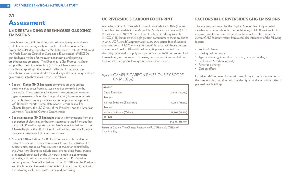#### FACTORS IN UC RIVERSIDE'S GHG EMISSIONS

The analyses performed for the Physical Master Plan Study revealed valuable information about factors contributing to UC Riversides' GHG emissions and the interactions between these factors. UC Riverside's current GHG footprint results from a complex interaction of the following factors:

#### **Figure 7.2** CAMPUS CARBON EMISSIONS BY SCOPE  $\left(\mathsf{IN}\, \mathsf{MtCO}_2\mathsf{e}\right)$

- Regional climate
- **Existing building stock**
- 
- 
- Renewable energy
- Carbon offsets

• Types and energy intensities of existing campus buildings • Fuel source & carbon intensity

UC Riverside's future emissions will result from a complex interaction of the foregoing factors, along with building types and energy intensities of planned new buildings.

| Scope 1                          |                |
|----------------------------------|----------------|
| <b>Direct Emissions</b>          | 22,535 (20.7%) |
| Scope 2                          |                |
| Indirect Emissions (Electricity) | 47,486 (43.6%) |
| Scope 3                          |                |
| Indirect Emissions (Other)       | 38,903 (35.7%) |
| <b>TOTAL</b>                     |                |
|                                  | 108,924 (100%) |

## 7.1 Assessment

#### UNDERSTANDING GREENHOUSE GAS (GHG) EMISSIONS

Greenhouse gas (GHG) emissions come in multiple types and from multiple sources, making analysis complex. The Greenhouse Gas Protocol (GGP), developed by the World Resources Institute (WRI) and the World Business Council on Sustainable Development (WBCSD), standardizes a method for measuring, managing, and reporting greenhouse gas emissions. The Greenhouse Gas Protocol has been adopted by The Climate Registry (TCR), which runs voluntary compliance reporting in the State of California. In particular, the Greenhouse Gas Protocol divides the auditing and analysis of greenhouse gas emissions into three main "scopes," as follows:

> **Figure 7.3** Source: The Climate Registry and UC Riverside Office of **Sustainability**

- **• Scope 1: Direct GHG Emissions** comprises greenhouse gas emissions that occur from sources owned or controlled by the University. These emissions include on-site combustion or other types of release (such as chemical production) from owned assets such as boilers, company vehicles, and other process equipment. UC Riverside reports its complete Scope 1 emissions to The Climate Registry, the UC Office of the President, and the American University Presidents' Climate Commitment.
- **• Scope 2: Indirect GHG Emissions** accounts for emissions from the generation of electricity (or heat or steam) purchased from another party. UC Riverside reports its complete Scope 2 emissions to The Climate Registry, the UC Office of the President, and the American University Presidents' Climate Commitment.
- **• Scope 3: Other Indirect GHG Emissions** accounts for all other indirect emissions. These emissions result from the activities of a subject entity but occur from sources not owned or controlled by the University. Examples include emissions resulting from services or materials purchased by the University, employee commuting activities, and business air travel, among others. UC Riverside currently reports Scope 3 emissions to the UC Office of the President and the American University Presidents' Climate Commitment, with the following exclusions: waste, water, and purchasing.

#### UC RIVERSIDE'S CARBON FOOTPRINT

According to the UC Riverside Office of Sustainability, in 2014 (the year to which emissions data in the Master Plan Study are benchmarked), UC Riverside emitted 108,924 metric tons of carbon dioxide equivalents (MtCO<sub>2</sub>e) Buildings are the single greatest contributor to these emissions. in 2014, UC Riverside's approximately 6,900,000 square feet of facilities produced 70,021  $\mathsf{MtCO}_{2}$ e, or 64 percent of the total.  $\mathsf{Of}$  this 64 percent of emissions from UC Riverside buildings, 68 percent resulted from electricity generated to supply campus demand, while 32 percent resulted from natural gas combustion. Remaining campus emissions resulted from fleet vehicles, refrigerant leakage and other minor sources.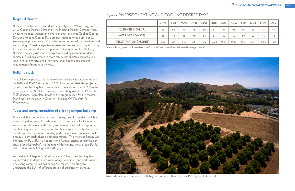#### **Figure 7.3** RIVERSIDE HEATING AND COOLING DEGREE-DAYS



Riverside's climate is semi-arid, with highs in summer often well over 100 degrees Fahrenheit.

|                               | <b>JAN</b> | <b>FEB</b> | <b>MAR</b> | <b>APR</b> | <b>MAY</b> | <b>JUN</b> | <b>JUL</b> | <b>AUG</b> | <b>SEP</b> | <b>OCT</b> | <b>NOV</b> | <b>DEV</b> |
|-------------------------------|------------|------------|------------|------------|------------|------------|------------|------------|------------|------------|------------|------------|
| <b>AVERAGE HIGH (°F)</b>      | 68         | 68         |            | 76         | 80         | 87         | 94         | 95         | 91         | 83         | 74         | 67         |
| <b>AVERAGE LOW (°F)</b>       | 43         | 44         | 46         | 49         | 54         | 57         | 62         | 62         | 59         | 53         | 46         | -42        |
| <b>PRECIPITATION (INCHES)</b> | 2.32       | 2.4        | 1.69       | 0.67       | 0.2        | 0.08       | 0.04       | 0.08       | 0.16       | 0.47       | 0.83       | 1.38       |

Source: http://www.usclimatedata.com/climate/riverside/california/united-states/usca1695

#### **Regional climate**

Riverside, California, is located in Climate Type 3B (Warm, Dry) with 2,430 Cooling Degree-Days and 1,779 Heating Degree-Days per year. (A technical measurement in climate analysis, the units Cooling Degree Days and Heating Degree Days are not intended to add up to 365). Annual precipitation totals 10.4 inches occurring mostly in the winter and early spring. Riverside experiences extreme heat and cold nights during the summer and moderate temperatures during the winter. Buildings in Riverside typically use more energy than buildings in more moderate climates. Buildings located in more temperate climates can achieve a lower energy intensity since they have lower heating and cooling requirements throughout the year.

#### **Building stock**

The University projects that its enrollment will grow to 25,000 students by 2020 and 30,000 students by 2025. To accommodate this projected growth, the Planning Team has modeled the addition of up to 2.9 million gross square feet (GSF) to the campus's existing inventory of 6.4 million GSF of space. Complete details of the program used for the Master Plan Study are included in Chapter 1, *Building On The Path To Preeminence.*

#### **Types and energy intensities of existing campus buildings**

Many variables determine the annual energy use of a building, which in turn largely determines its carbon impact. These variables include the surrounding climate, the efficiency and operation of building systems, and building function. Because no two buildings are exactly alike in their use, design, and operation, building performance assessments normalize energy use by establishing a common metric. This metric is Energy Use Intensity, or EUI. EUI is an expression of annual energy consumed per square foot (kBtu/sf/yr). At the time of this writing, the average EUI for all UC Riverside buildings is 130 kBtu/sf/yr.

As detailed in Chapter 6, *Infrastructure & Utilities,* the Planning Team conducted an in-depth assessment of age, condition, and performance of existing campus buildings during the Master Plan Study to understand the EUIs of different groups of buildings on campus.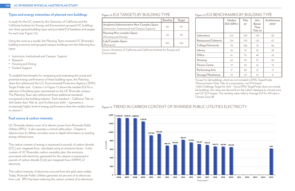#### **Types and energy intensities of planned new buildings**

A study for the UC system by the University of California and the California Institute for Energy and Environment grouped UC buildings into three general building types and provided EUI baselines and targets for each (see Figure 7.4).

Using this work as a model, the Planning Team reviewed UC Riverside's building inventory and grouped campus buildings into the following four types:

- Instruction, Institutional and Campus Support
- Research
- Housing and Dining
- Student Support

To establish benchmarks for comparing and evaluating the actual and potential energy performance of these building types, the Planning Team first referenced the U.S. Environmental Protection Agency's (EPA) Target Finder tool. Column 1 in Figure 7.5 shows the median EUI for a selection of building types represented on the UC Riverside campus. The Planning Team also referenced three additional standards recognized in the building industry. Each standard – California Title 24, 30% better than Title 24, and Architecture 2030 – represents a increasingly higher level of energy performance than the median shown in column 1.

#### **Fuel source & carbon intensity**

UC Riverside obtains most of its electric power from Riverside Public Utilities (RPU). It also operates a central utility plant. Chapter 6, *Infrastructure & Utilities,* provides more in-depth information on existing energy infrastructure.

 $32030$  Challenge Target for 2015  $\beta$  4Since EPA's TargetFinder does not include lab buildings, this value was derived from the Labs21 database by climate zone and UC EUI targets. The resulting value reflects Average EUI for All Labs in

The carbon content of energy is expressed in pounds of carbon dioxide  ${\rm (CO}_{_2)}$  per megawatt hour, calculated using an emissions factor.  $\,$  In the context of UC Riverside's carbon neutrality plan, the emissions associated with electricity generated for the campus is expressed in pounds of carbon dioxide (C02) per megawatt hour (MWH) of electricity.

The carbon intensity of electricity sourced from the grid varies widely. Today, Riverside Public Utilities generates 36 percent of its electricity from coal. RPU has been reducing the carbon content of its electricity

#### **Figure 7.4** EUI TARGETS BY BUILDING TYPE

|                                                                                              | <b>Baseline</b> | <b>Target</b> |
|----------------------------------------------------------------------------------------------|-----------------|---------------|
| Academic/Administrative Non-Complex Space<br>(Instruction, Institutional and Campus Support) | 65              | 33            |
| <b>Housing Non-complex Space</b><br>(Housing and Dining)                                     | 59              | - 79          |
| Lab/Complex Space<br>Research)                                                               | 310             | 158           |

#### **Figure 7.5** EUI BENCHMARKS BY BUILDING TYPE

|                           | <b>Median</b><br>EUI (EPA <sup>1</sup> ) | <b>Title</b><br>$24^2$ | 30%<br><b>Better</b><br>Than<br>Title 24 | Architecture<br>$2030^3$ |  |  |  |
|---------------------------|------------------------------------------|------------------------|------------------------------------------|--------------------------|--|--|--|
| Laboratory                | 274 <sup>4</sup>                         | 219                    | 153                                      | 82                       |  |  |  |
| Restaurant/Cafeteria      | 224                                      | 179                    | 125                                      | 67                       |  |  |  |
| <b>College/University</b> | 132                                      | 106                    | 74                                       | 40                       |  |  |  |
| Library                   | 92                                       | 74                     | 52                                       | 28                       |  |  |  |
| <b>Office</b>             | 87                                       | 70                     | 49                                       | 26                       |  |  |  |
| Housing                   | 66                                       | 53                     | 37                                       | 20                       |  |  |  |
| <b>Fitness Center</b>     | 43                                       | 34                     | 24                                       | 13                       |  |  |  |
| <b>Performing Arts</b>    | 37                                       | 30                     | 21                                       | 11                       |  |  |  |
| Storage/Warehouse         | 29                                       | 23                     | 16                                       | 9                        |  |  |  |

1 Except for lab buildings, which are not included in EPA's TargetFinder 2 Demonstration Only, Title 24 is prescriptive, not EUI-based



#### Figure 7.6 TREND IN CARBON CONTENT OF RIVERSIDE PUBLIC UTILITIES ELECTRICITY

Climate Zone 3B

Source: University of California and California Institute for Energy and Environment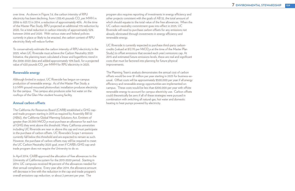To conservatively estimate the carbon intensity of RPU electricity in the 2025, when UC Riverside must achieve the Carbon Neutrality 2025 Initiative, the planning team calculated a linear and logarithmic trend in the 2006-2020 data and added approximately 10% back, for a projected value of 620 pounds  $\mathsf{CO}_\mathsf{2}$  per MWH for RPU electricity in 2025.

over time. As shown in Figure 7.6, the carbon intensity of RPU electricity has been declining, from 1,333.45 pounds  $\mathsf{CO}_\mathsf{2}$  per MWH in 2006 to 823.72 in 2014, a reduction of approximately 40%. At the time of the Master Plan Study, RPU projected an additional 11% reduction by 2020, for a total reduction in carbon intensity of approximately 52% between 2006 and 2020. With various state and federal policies currently in place or likely to be enacted, the carbon content of RPU electricity likely will reduce further.

#### **Renewable energy**

Although limited in output, UC Riverside has begun on-campus production of renewable energy. As of the Master Plan Study, a 3.0 MW ground-mounted photovoltaic installation produces electricity for the campus. The campus also produces solar hot water on the rooftops of the Glen Mor student housing facility.

#### **Annual carbon offsets**

The California Air Resources Board (CARB) established a GHG capand-trade program starting in 2013 as required by Assembly Bill 32 (AB32), the California Global Warming Solutions Act. Emitters of greater than 25,000  $\rm{MtCO}_{2}$ e must purchase an allowance for each ton of GHG they emit above this threshold. Many California universities including UC Riverside are near or above this cap and must participate in the purchase of carbon offsets. UC Riverside's Scope 1 emissions currently fall below this threshold and are expected to remain as such. However, the purchase of carbon offsets may still be required to meet the UC Carbon Neutrality 2025 goal, even if CARB's GHG cap-andtrade program does not require the University to do so.

In April 2014, CARB approved the allocation of free allowances to the University of California system for the 2013-2020 period. Starting in 2014, UC campuses received 98 percent of the allowances needed for their annual compliance. Every year after 2014, the allowance amount will decrease in line with the reduction in the cap-and-trade program's overall emissions cap reduction, or about 2 percent per year. The

program also requires reporting of investments in energy efficiency and other projects consistent with the goals of AB 32, the total amount of which should equate to the total value of the free allowances. When the UC carbon neutrality commitment goes into effect in 2025, UC Riverside will need to purchase carbon offsets for any emissions not already eliminated through investments in energy efficiency and renewable energy.

UC Riverside is currently expected to purchase third-party carboncredits (valued at \$12.70 per  $\mathsf{MtCO}_{2}$ e at the time of the Master Plan Study) to offset emissions that exceed each year's emissions cap. At 2015 and estimated future emissions levels, these are real and significant costs that must be factored into planning for future physical improvements.

The Planning Team's analysis demonstrates the annual cost of carbon offsets would be over \$1 million per year starting in 2025 for business-asusual. Offset costs will be approximately \$500,000 per year if all energy efficiency and renewable energy opportunities are implemented on campus. These costs would be less than \$200,000 per year with offsite renewable energy to account for campus electricity use. Carbon offsets could theoretically be zero if all of these strategies were pursued in combination with switching all natural gas, hot water and domestic heating to heat pumps powered by electricity.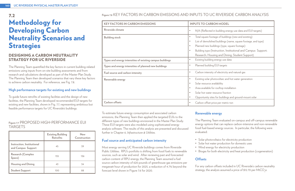#### **Figure 7.8** KEY FACTORS IN CARBON EMISSIONS AND INPUTS TO UC RIVERSIDE CARBON ANALYSIS

| <b>KEY FACTORS IN CARBON EMISSIONS</b>                    | <b>INPUTS TO CARBON MODEL</b>                                                                                                                                                                                                                                        |  |  |  |
|-----------------------------------------------------------|----------------------------------------------------------------------------------------------------------------------------------------------------------------------------------------------------------------------------------------------------------------------|--|--|--|
| Riverside climate                                         | N/A (Reflected in building energy<br>$\bullet$                                                                                                                                                                                                                       |  |  |  |
| <b>Building stock</b>                                     | Total square footage of buildings (<br>$\bullet$<br>List of demolished buildings (name<br>$\bullet$<br>Planned new buildings (type, squa<br>$\bullet$<br>Building type (Instruction, Institu<br>$\bullet$<br>Research; Housing and Dining;                           |  |  |  |
| Types and energy intensities of existing campus buildings | Existing building energy use data<br>$\bullet$                                                                                                                                                                                                                       |  |  |  |
| Types and energy intensities of planned new buildings     | Planned building EUI targets<br>$\bullet$                                                                                                                                                                                                                            |  |  |  |
| Fuel source and carbon intensity                          | Carbon intensity of electricity and<br>$\bullet$                                                                                                                                                                                                                     |  |  |  |
| Renewable energy                                          | Existing solar photovoltaic and hot<br>$\bullet$<br>Solar resource availability<br>$\mathcal{O}$<br>Area available for rooftop installati<br>$\mathcal{O}$<br>Solar hot water resource fraction<br>$\bullet$<br>Opportunity sites for buildings and<br>$\mathcal{O}$ |  |  |  |
| <b>Carbon offsets</b>                                     | Carbon offset price per metric ton<br>$\bullet$                                                                                                                                                                                                                      |  |  |  |

For any carbon offsets included in UC Riverside's carbon neutrality strategy, the analysis assumed a price of \$12.70 per MtCO<sub>2</sub>e.

# $b$ uilding energy use data and EUI targets) **Bu** is deptherenger of buildings (new and existing) buildings (name, square footage, and type) ngs (type, square footage) ruction, Institutional and Campus Support; g and Dining; Student Support)  $\frac{1}{2}$  electricity and natural gas **Renewalt is ender** bot water generation lability ooftop installation ource fraction or buildings and ground-mount solar

# 7.2 Methodology for Developing Carbon Neutrality Scenarios and **Strategies**

To estimate future energy consumption and associated carbon emissions, the Planning Team then applied the targeted EUIs to the different types of new buildings envisioned in the Master Plan Study. These EUI targets were also modeled using sophisticated energy analysis software. The results of this analysis are presented and discussed further in Chapter 6, *Infrastructure & Utilities.*

#### **Fuel source and anticipated carbon intensity**

Most energy serving UC Riverside buildings comes from Riverside Public Utilities. RPU's portfolio is shifting from fossil fuels to renewable sources, such as solar and wind. After reviewing past and forecasted carbon content of RPU energy, the Planning Team assumed a fuel source carbon intensity of 620 pounds of greenhouse gas emissions per megawatt hour of production for 2025, a reduction of 4.7% beyond the forecast level shown in Figure 7.6 for 2020.

#### **Renewable energy**

The Planning Team evaluated on-campus and off-campus renewable energy options that can replace carbon-intensive and non-renewable fossil fuel-based energy sources. In particular, the following were evaluated:

- Solar photovoltaics for electricity production
- Solar hot water production for domestic uses
- Wind energy for electricity production
- 

• Biogas for both electricity and heat production (cogeneration)

#### **Offsets**

#### DESIGNING A CARBON NEUTRALITY STRATEGY FOR UC RIVERSIDE

The Planning Team quantified the key factors in current building-related emissions using inputs from on-site building assessments and from research and calculations developed as part of the Master Plan Study. The Planning Team then developed scenarios that vary these key factors to achieve carbon neutrality. For reference, see Fig. 7.8.

#### **High performance targets for existing and new buildings**

To guide future retrofits of existing facilities and the design of new facilities, the Planning Team developed recommended EUI targets for existing and new facilities, shown in Fig. 7.7, representing ambitious but feasible performance targets for UC Riverside's buildings.

#### **Figure 7.7** PROPOSED HIGH-PERFORMANCE EUI TARGETS

|                                                  | <b>Existing Building</b><br><b>Retrofits</b> | <b>New</b><br>Construction |
|--------------------------------------------------|----------------------------------------------|----------------------------|
| Instruction, Institutional<br>and Campus Support | 45                                           | 39                         |
| <b>Research (Complex</b><br>Space)               | 155                                          | 136                        |
| <b>Housing and Dining</b>                        | 43                                           | 34                         |
| <b>Student Support</b>                           | 100                                          | 88                         |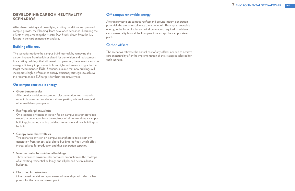#### DEVELOPING CARBON NEUTRALITY **SCENARIOS**

After characterizing and quantifying existing conditions and planned campus growth, the Planning Team developed scenarios illustrating the effects of implementing the Master Plan Study, drawn from the key factors in the carbon neutrality analysis.

#### **Building efficiency**

The scenarios update the campus building stock by removing the carbon impacts from buildings slated for demolition and replacement. For existing buildings that will remain in operation, the scenarios assume energy efficiency improvements from high-performance upgrades that target recommended EUIs. Scenarios assume that new buildings will incorporate high-performance energy efficiency strategies to achieve the recommended EUI targets for their respective types.

#### **On-campus renewable energy**

**• Ground-mount solar**

All scenarios envision on-campus solar generation from groundmount photovoltaic installations above parking lots, walkways, and other available open spaces.

#### **• Rooftop solar photovoltaics**

One scenario envisions an option for on-campus solar photovoltaic electricity generation from the rooftops of all non-residential campus buildings, including existing buildings to remain and new buildings to be built.

#### **• Canopy solar photovoltaics**

Two scenarios envision on-campus solar photovoltaic electricity generation from canopy solar above building rooftops, which offers increased area for production and thus generation capacity.

#### **• Solar hot water for residential buildings**

Three scenarios envision solar hot water production on the rooftops of all existing residential buildings and all planned new residential buildings.

#### **• Electrified infrastructure**

One scenario envisions replacement of natural gas with electric heat pumps for the campus's steam plant.

#### **Off-campus renewable energy**

After maximizing on-campus rooftop and ground-mount generation potential, the scenarios calculate the amount of off-campus renewable energy, in the form of solar and wind generation, required to achieve carbon neutrality from all facility operations except the campus steam plant.

#### **Carbon offsets**

The scenarios estimate the annual cost of any offsets needed to achieve carbon neutrality after the implementation of the strategies selected for each scenario.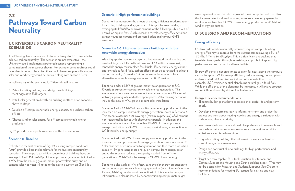# 7.3 Pathways Toward Carbon **Neutrality**

#### UC RIVERSIDE'S CARBON NEUTRALITY SCENARIOS

The Planning Team's scenarios illustrate pathways for UC Riverside to achieve carbon neutrality. The scenarios are not exhaustive—the University could implement a preferred scenario representing a combination of the measures shown. For example, some rooftops could have direct-mount solar while others could have canopies; off-campus solar and wind energy could be pursued along with carbon offsets.

In realizing any of the scenarios, UC Riverside will need to:

- Retrofit existing buildings and design new buildings to meet aggressive EUI targets
- Install solar generation directly on building rooftops or on canopies above rooftops
- Develop off-campus renewable energy capacity or purchase carbon offsets
- Choose wind or solar energy for off-campus renewable energy production

Fig 7.9 provides a comprehensive view of the five scenarios.

#### **Scenario 0: Baseline**

Reflected in the first column of Fig. 7.9, existing campus conditions (2014) provide a baseline benchmark for the five carbon neutrality scenarios. The campus's 6.4 million square feet of buildings have an average EUI of 130 kBtu/sf/yr. On-campus solar generation is limited to 3 MW from the existing ground-mount photovoltaic array, and oncampus solar hot water is limited to the existing system on Glen Mor.

#### **Scenario 1: High-performance buildings**

**Scenario 1** demonstrates the effects of energy efficiency modernizations for existing buildings and aggressive EUI targets for new buildings, averaging 80 kBtu/sf/year across campus, at the full campus build-out of 8.9 million square feet. As this scenario reveals, energy efficiency alone cannot neutralize current and projected additional campus GHG emissions.

#### **Scenarios 2-5: High-performance buildings with four renewable energy alternatives**

After high-performance strategies are implemented for all existing and new buildings in a fully built-out campus of 8.9 million square feet, renewable energy must replace fossil fuels. If renewable energy cannot entirely replace fossil fuels, carbon offsets must be purchased to achieve carbon neutrality. Scenarios 2-5 demonstrate the effects of four alternative renewable energy scenarios for UC Riverside:

**Scenario 2** adds 8 MW of ground-mount solar generation to UC Riverside's current on-campus renewable energy generation. This scenario envisions new ground-mount solar covering about 25 acres of walkways, parking lots, and other open spaces. All remaining scenarios include this new, 8-MW, ground-mount solar installation..

**Scenario 3** adds 9.7 MW of new rooftop solar energy production to the increased on-campus renewable energy generation shown in Scenario 2. This scenario assumes 50% coverage (maximum practical) of all campus non-residential buildings with photovoltaic panels. In addition, this scenario reflects the addition of either 53 MW of off-campus solar energy production or 43 MW of off-campus wind energy production to UC Riverside's energy supply.

**Scenario 4** adds 41 MW of new canopy solar energy production to the increased on-campus renewable energy generation shown in scenario 2. Solar canopies offer more area for generation and thus more production capacity. By generating more energy on-campus from canopy solar arrays, this scenario reduces the capacity needed from off-site generation to 32 MW of solar energy or 23 MW of wind energy.

**Scenario 5** also adds 41 MW of new canopy solar energy production to current on-campus renewable energy generation (in addition to Scenario 2's new, 8-MW ground-mount production). In this scenario, campus infrastructure is also updated by decommissioning campus natural gas

steam generation and introducing electric heat pumps instead. To offset this increased electrical load, off-campus renewable energy generation must increase to either 63 MW of solar energy production or 45 MW of wind energy production.

### DISCUSSION AND RECOMMENDATIONS

#### **Energy efficiency**

UC Riverside's carbon neutrality scenarios require campus building energy efficiency to improve from the current campus average EUI of 130 kBtu/sf/yr to 80 kBtu/sf/yr. This is a significant undertaking that translates to upgrades throughout existing campus buildings and high performance construction for all new facilities.

Energy efficiency is not an ultimate solution for neutralizing the campus's carbon footprint. While energy efficiency reduces energy consumption and associated GHG emissions, it does not eliminate them. For example, UC Riverside's central plant burns natural gas, a fossil fuel. While the efficiency of the plant may be increased, it will always produce some GHG emissions by virtue of its fuel source.

#### **Energy efficiency recommendations**

• Eliminate buildings that have exceeded their useful life and perform

• Develop a long-term strategy to inform short-term and project-byproject decisions about heating, cooling and energy distribution with

• Investments in infrastructure should give preference to renewable and low-carbon fuel sources to ensure systematic reductions in GHG emissions are achieved over time.

• Upgrade existing buildings that will remain in service, at least to current energy code minimums.

- poorly.
- carbon neutrality as a priority.
- 
- 
- energy efficiency.
- buildings.

• Design and construct all new buildings for high performance and

• Target net-zero capable EUIs for Instruction, Institutional and Campus Support and Housing and Dining building types. (This may not be possible for Research and Student Support.) See Chapter 6 recommendations for meeting EUI targets for existing and new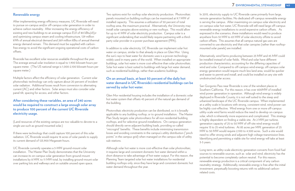#### **Renewable energy**

After implementing energy efficiency measures, UC Riverside will need to pursue on-campus and/or off-campus solar generation in order to achieve carbon neutrality. After increasing the energy efficiency of existing and new buildings to an average campus EUI of 80 kBtu/sf/yr and optimizing campus steam and cooling infrastructure, 129 million kWh of annual electrical demand and 269 million kBtu of annual thermal energy demand remain. This demand must be supplied with carbonfree energy to avoid the significant ongoing operational costs of carbon offsets.

Riverside has excellent solar resources available throughout the year. The average annual solar insolation is equal to 1,900 kilowatt-hours per square meter. (The US national range is 1,000-2,100 kilowatt-hours per square meter.)

Multiple factors affect the efficiency of solar generation. Current solar photovoltaic technology can only capture about 20 percent of incident solar radiation. Additional losses result from conversion to alternating current (AC) and other factors. Solar arrays must also consider solar panel tilt, spacing for access, and other factors.

#### **After considering these variables, an area of 240 acres would be required to construct a large enough solar array to produce 100 percent of the current UC Riverside electricity usage.**

(Land resources of the existing campus are too valuable to devote to a single use such as ground mounted solar.)

If there were technology that could capture 100 percent of this solar radiation, UC Riverside would require 16 acres of solar panels to supply its current demand of 123,900 Megawatt-hours.

UC Riverside currently operates a 3-MW ground-mount solar installation. The Master Plan Study demonstrates that the University can increase its on-campus solar generation from ground-mount installations by 8 MW, to 11 MW total, by installing ground-mount solar over parking lots and walkways and on suitable unused open space.

Two options exist for rooftop solar electricity production. Photovoltaic panels mounted on building rooftops can be maximized at 9.7 MW of installed capacity. This assumes a utilization of 50 percent of total rooftop area, the maximum practical. Alternatively, the University may install solar canopies above existing or new rooftops. This would allow for up to 41 MW of solar electricity production. Campus solar is a significant undertaking that would likely require partnering with a thirdparty solar provider in a power purchase agreement (PPA).

In 2015, electricity supply to UC Riverside came primarily from large, remote generation facilities. No dedicated off-campus renewable energy is serving the campus. After maximizing on-campus solar electricity and on-campus solar hot water, UC Riverside will still need large off-campus renewable energy installations to avoid expensive carbon offsets. As expressed in the scenarios, these installations would need to produce anywhere from 32 MW to 63 MW of solar electricity offsite to avoid carbon offsets. This assumes that all campus natural gas uses are converted to use electricity and that solar canopies (rather than rooftopmounted solar panels) are installed.

In addition to solar electricity, UC Riverside can implement solar hot water on campus, similar to that already in place on Glen Mor. Using the sun's rays to heat water for domestic uses is a proven technology widely used in many parts of the world. When installed on appropriate buildings, solar hot water is more cost-effective than solar photovoltaic. Solar hot water is best suited to buildings with large hot water demand, such as residential buildings, rather than academic buildings.

#### **On an annual basis, at least 50 percent of the daily hot water demand in UC Riverside's residential buildings can be served by solar hot water.**

Glen Mor residential housing includes the installation of a domestic solar hot water system that offsets 45 percent of the natural gas demand of the building.

Photovoltaic electricity production can be distributed, so it is broadly applicable to any building rooftop, or to ground installation. The Master Plan Study targets solar photovoltaics for all non-residential building rooftops, and for selective ground installations. On-campus generation should directly serve adjacent building loads, providing so-called "microgrid" benefits. These benefits include minimizing transmission losses and avoiding constraints in the campus's utility distribution ("pinch points" in the campus grid) when managed on the campus side of utility sub-stations.

Although solar hot water is more cost-effective than solar photovoltaic, it requires large and consistent domestic hot water demand within a short distance to take advantage of hot water output. For this reason, the Planning Team targeted solar hot water installations for residential building rooftops only, since they have large and consistent domestic hot water demand throughout the year.

Alternatively, wind farms producing between 23 MW and 45 MW could be installed instead of solar fields. Wind and solar have different production characteristics, accounting for the differing capacities of wind and solar. Compared to off-campus wind energy, off-campus solar energy generation would require much less land area, would be quicker and easier to permit and install, and could be installed on any site with unobstructed solar access.

San Gorgonio Pass near Riverside is one of the windiest places in Southern California. For this reason, it has over 600MW of installed wind power generation in operation. Although wind energy is widely deployed in Riverside County, it is not well suited to the steep and urbanized landscape of the UC Riverside campus. When implemented at a utility scale in locations with strong, consistent wind, wind power can be highly cost-effective. Wind energy from one or more off-campus utility-scale wind farms would reduce the need to develop on-campus solar, which is inherently more expensive and complicated. This strategy is highly dependent on finding a viable site. At 2 MW per turbine, generation capacity of 25 to 50 MW of off-site wind energy would require 13 to 25 wind turbines. At 85 acres per MW, generation of 25 MW to 50 MW would require 2,100 to 4,500 acres. Such a site would need to offer strong winds and adjacent high voltage transmission lines. Identifying and permitting a viable site for wind energy will take at least 3-5 years.

Long term, as utility-scale electricity generation converts from fossil fuel sources to renewable sources, such as solar and wind, electricity has the potential to become completely carbon neutral. For this reason, renewable energy production is a critical component of any carbon neutrality strategy. Additionally, renewable energy is free after the initial investment, perpetually boosting returns with no additional carbonrelated costs.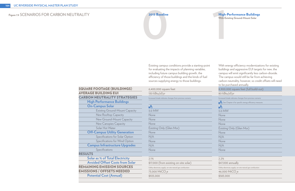# **2015 Baseline**<br>With Exis<br>With Exis 2015 Baseline

#### High-Performance Buildings

**With Existing Ground-Mount Solar**

| <b>SQUARE FOOTAGE (BUILDINGS)</b>      |
|----------------------------------------|
| <b>AVERAGE BUILDING EUI</b>            |
| <b>CARBON NEUTRALITY STRATEGIES</b>    |
| <b>High Performance Buildings</b>      |
| <b>On-Campus Solar</b>                 |
| <b>Existing Ground-Mount Capacity</b>  |
| <b>New Rooftop Capacity</b>            |
| <b>New Ground-Mount Capacity</b>       |
| <b>New Canopies Capacity</b>           |
| Solar Hot Water                        |
| <b>Off-Campus Utility Generation</b>   |
| Specifications for Solar Option        |
| Specifications for Wind Option         |
| <b>Campus Infrastructure Upgrades</b>  |
| Specifications                         |
| <b>RESULTS</b>                         |
| <b>Solar as % of Total Electricity</b> |
| <b>Avoided Offset Costs from Solar</b> |
| <b>REMAINING EMISSION SOURCES</b>      |
| <b>EMISSIONS / OFFSETS NEEDED</b>      |
| <b>Potential Cost (Annual)</b>         |

| Ŝ                                                          |
|------------------------------------------------------------|
| 3.0 MW                                                     |
| None                                                       |
| None                                                       |
| None                                                       |
| Existing Only (Glen Mor)                                   |
| None                                                       |
| N/A                                                        |
| None                                                       |
| N/A                                                        |
| None                                                       |
|                                                            |
| 2.1%                                                       |
| \$17,000 (from existing on-site solar)                     |
| Utility electricity supply; on-site natural gas combustion |
| 73,000 MtCO <sub>se</sub>                                  |
| \$925,000                                                  |

6,400,000 square feet

130 kBtu/sf/yr

Increased shade indicates changes from previous scenario

8,900,000 square feet (full build-out)

#### 80 kBtu/sf/yr

Increased shade indicates changes from previous scenario

| See Chapter 6 for specific energy efficiency measures |
|-------------------------------------------------------|
| 头                                                     |
| 3.0 MW                                                |
| None                                                  |
| None                                                  |
| None                                                  |
| Existing Only (Glen Mor)                              |
| None                                                  |
| N/A                                                   |
| None                                                  |
| N/A                                                   |
| None                                                  |
|                                                       |

2.2%

\$47,000 annually

Utility electricity supply; on-site natural gas combustion

<u>46,000 MtCO<sub>2</sub>e</u>

\$583,000

Existing campus conditions provide a starting-point for evaluating the impacts of planning variables, including future campus building growth, the efficiency of those buildings and the kinds of fuel sources supplying energy to those buildings.

With energy efficiency modernizations for existing buildings and aggressive EUI targets for new, the campus will emit significantly less carbon-dioxide. The campus would still be far from achieving carbon-neutrality, however, so credit offsets will need to be purchased annually.

#### **Figure 7.9** SCENARIOS FOR CARBON NEUTRALITY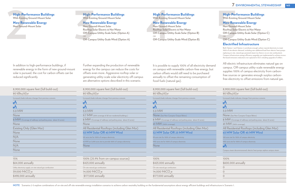#### High-Performance Buildings

**With Existing Ground-Mount Solar**

#### New Renewable Energy

**New Ground-Mount Solar**

#### High-Performance Buildings

**With Existing Ground-Mount Solar**

**2 4 5 New Ground-Mount Solar Rooftop Solar Electric & Hot Water Off-Campus Utility-Scale Solar (Option B)** OR **Off-Campus Utility-Scale Wind (Option B)**

#### New Renewable Energy

#### High-Performance Buildings

**With Existing Ground-Mount Solar**

#### New Renewable Energy

8,900,000 square feet (full build-out) 80 kBtu/sf/yr Increased shade indicates changes from previous scenario  $\blacktriangleright$ A 3.0 MW **9.7 MW** (50% coverage of all non-residential buildings)  $8$  MW (Coverage of walkways and parking areas; about 25 acres) None All Residential Rooftops (including Glen Mor) **53 MW Solar OR 43 MW Wind** 181-acre site for 100% of campus electricity 43 MW on 3,690-acre site to provide 100% of campus electricity **None** 

| 8,900,000 square feet (full build-out)                        |
|---------------------------------------------------------------|
| 80 kBtu/sf/yr                                                 |
| Increased shade indicates changes from previous scenario      |
| Å                                                             |
| 弄                                                             |
| 3.0 MW                                                        |
| None                                                          |
| 8 MW (Coverage of walkways and parking areas; about 25 acres) |
| None                                                          |
| Existing Only (Glen Mor)                                      |
| None                                                          |
| N/A                                                           |
| None                                                          |
| N/A                                                           |
| None                                                          |
|                                                               |
| 15%                                                           |
| \$64,000 annually                                             |

Utility electricity supply; on-site natural gas combustion

39,000 MtCO<sub>2</sub>e

\$498,000 annually

|                                                                                                                                   | 8,900,000 square feet (full build-out)                        |  |  |  |  |      |
|-----------------------------------------------------------------------------------------------------------------------------------|---------------------------------------------------------------|--|--|--|--|------|
|                                                                                                                                   | 80 kBtu/sf/yr                                                 |  |  |  |  |      |
|                                                                                                                                   | Increased shade indicates changes from previous scenario      |  |  |  |  |      |
|                                                                                                                                   | Ŝ                                                             |  |  |  |  |      |
|                                                                                                                                   | Ŝ                                                             |  |  |  |  |      |
|                                                                                                                                   | 3.0 MW                                                        |  |  |  |  |      |
|                                                                                                                                   | None (See New Canopies Output Below)                          |  |  |  |  |      |
|                                                                                                                                   | 8 MW (Coverage of walkways and parking areas; about 25 acres) |  |  |  |  |      |
|                                                                                                                                   | 41 MW (100% coverage)                                         |  |  |  |  |      |
|                                                                                                                                   | All Residential Rooftops (including Glen Mor)                 |  |  |  |  |      |
| 32 MW Solar OR 23 MW Wind<br>99-acre site for 100% of campus electricity<br>1955-acre site for 100% of campus electricity<br>None |                                                               |  |  |  |  |      |
|                                                                                                                                   |                                                               |  |  |  |  |      |
|                                                                                                                                   |                                                               |  |  |  |  |      |
|                                                                                                                                   |                                                               |  |  |  |  | 100% |
|                                                                                                                                   |                                                               |  |  |  |  |      |

| 100%                           |  |
|--------------------------------|--|
| \$423,000 annually             |  |
| On-site natural gas combustion |  |
| 14,000 MtCO <sub>se</sub>      |  |
| \$177,000 annually             |  |

NOTE Scenarios 2-5 explore combinations of on-site and off-site renewable energy installation scenarios to achieve carbon neutrality building on the fundamental assumptions about energy efficient buildings and infrastructu

100% (25.9% from on-campus sources) \$423,000 annually On-site natural gas combustion <u>14,000 MtCO<sub>2</sub>e</u> \$177,000 annually

#### 8,900,000 square feet (full build-out)

#### 80 kBtu/sf/yr

Increased shade indicates changes from previous scenario

#### **PA**  $\mathbf{A}$

3.0 MW

None (See New Canopies Output Below)

8 MW (Coverage of walkways and parking areas; about 25 acres)

**New Ground-Mount Solar Rooftop Solar Electric & Hot Water Off-Campus Utility-Scale Solar (Option A)** OR **Off-Campus Utility-Scale Wind (Option A) 3**

41 MW (100% coverage)

All Residential Rooftops (including Glen Mor) **63 MW Solar OR 45 MW Wind**

100-acre site for 100% of campus electricity

1955-acre site for 100% of campus electricity

#### Â

Campus steam decommissioned; electric heat pumps replace campus steam

#### 100%

#### \$600,000 annually

| $\left( \quad \right)$ |  |
|------------------------|--|
| $\mathbf{I}$           |  |
|                        |  |

#### High-Performance Buildings

**With Existing Ground-Mount Solar**

#### New Renewable Energy

**New Ground-Mount Solar Rooftop Solar Electric & Hot Water Off-Campus Utility-Scale Solar (Option C)** OR

**Off-Campus Utility-Scale Wind (Option C)**

#### Electrified Infrastructure

Both Option 1 and Option 2 contribute enough carbon-neutral electricity to meet 100% of site electric demand, including new additional load from electric heat pumps replacing on-site, natural gas-powered steam (so there is no on-site combustion). Campus infrastructure energy efficiency upgrades are implemented to achieve acrossthe board emissions reductions not captured in EUI, including upgrade of chillers.

All-electric infrastructure eliminates natural gas on campus. Off-campus utility-scale renewable energy supplies 100% of campus electricity from carbonfree sources or generates enough surplus carbonfree electricity to offset emissions from natural gas.

In addition to high-performance buildings, if renewable energy in the form of new ground-mount solar is pursued, the cost for carbon offsets can be reduced significantly.

Further expanding the production of renewable energy for the campus can reduce the costs for offsets even more. Aggressive rooftop solar or generating utility-scale solar electricity off-campus are alternative options described in this scenario.

It is possible to supply 100% of all electricity demand on campus with renewable carbon-free energy, but carbon offsets would still need to be purchased annually to offset the remaining consumption of fossil fuels (natural gas).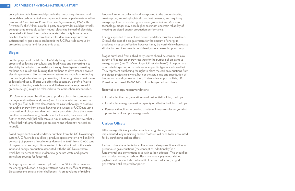Solar photovoltaic farms would provide the most straightforward and dependable carbon neutral energy production to help eliminate or offset campus GHG emissions. Power Purchase Agreements (PPAs) with Riverside Public Utilities as a third-party solar provider could potentially be negotiated to supply carbon neutral electricity instead of electricity generated with fossil fuels. Solar-generated electricity from remote facilities that have inexpensive land costs, ideal solar exposures and sufficient utility grid access can benefit the UC Riverside campus by preserving campus land for academic uses.

#### **Biogas**

For the purpose of the Master Plan Study, biogas is defined as the process of collecting agricultural and food waste and converting it to electricity by reducing the feedstock through bio-digesters, creating methane as a result, and burning that methane to drive steam-powered electric generators. Biomass recovery systems are capable of reducing food and agricultural waste by converting it to energy. Waste heat is also collected and used. Biogas use offers the secondary benefit of waste reduction, diverting waste from a landfill where methane (a powerful greenhouse gas) might be released into the atmosphere uncontrolled.

UC Davis uses anaerobic digesters to produce biogas for combustion for cogeneration (heat and power) and for use in vehicles that run on natural gas. Fuel cells were also considered as a technology to produce renewable energy from biogas, however the success at UC Davis using combustion of biogas was deemed most appropriate. Since there were no other renewable energy feedstocks for fuel cells, they were not further considered (fuel cells can also run on natural gas, however that is a fossil fuel with greenhouse gas emissions and inherently not carbon neutral).

Based on production and feedstock numbers from the UC Davis biogas system, UC Riverside could likely produce approximately 2 million kWh per year (1.5 percent of total energy demand in 2025) from 10,000 tons of organic food and agricultural waste. This is about half of the waste input and energy production associated with the UC Davis system, which has 50 percent more students to generate waste and greater agriculture sources for feedstock.

A biogas system would have an upfront cost of \$4.2 million. Relative to the energy production, a biogas system is not a cost efficient strategy. Biogas presents several other challenges. A great volume of reliable

feedstock must be collected and transported to the processing site, creating cost, imposing logistical coordination needs, and requiring energy input and associated greenhouse gas emissions. As a new technology, biogas may pose higher costs with uncertain reliability of meeting predicted energy production performance.

Energy expended to collect and deliver feedstock must be considered. Overall, the cost of a biogas system for the amount of energy it produces it not cost effective, however it may be worthwhile when waste elimination and treatment is considered, or as a research opportunity.

Biogas purchased from a third party source should be considered as a carbon offset, not an energy resource for the purpose of on-campus energy supply. (See "Off-Site Biogas Offset Purchase.") The purchase of off-site biogas carbon offsets are one specific type of carbon offset. They represent purchasing the right to claim the carbon reductions from the biogas project elsewhere, but not the actual use and substitution of biogas for natural gas use on the UC Riverside campus. In 2014, UC Riverside purchased 20,000 MMBTU of biogas carbon offsets.

#### **Renewable energy recommendations:**

- Install solar thermal generation on all residential building rooftops.
- Install solar energy generation capacity on all other building rooftops.
- Partner with utilities to develop off-site utility-scale solar and/or wind power to fulfill campus energy needs

#### **Carbon Offsets**

After energy efficiency and renewable energy strategies are implemented, any remaining carbon footprint will need to be accounted for by purchasing carbon offsets.

Carbon offsets have limitations. They do not always result in additional greenhouse gas reductions (the concept of "additionality" is a fundamental and contentious issue with carbon offsets). This should be seen as a last resort, as carbon offsets are annual payments with no payback and only include the benefit of carbon reduction, so grid generation is still required for power.